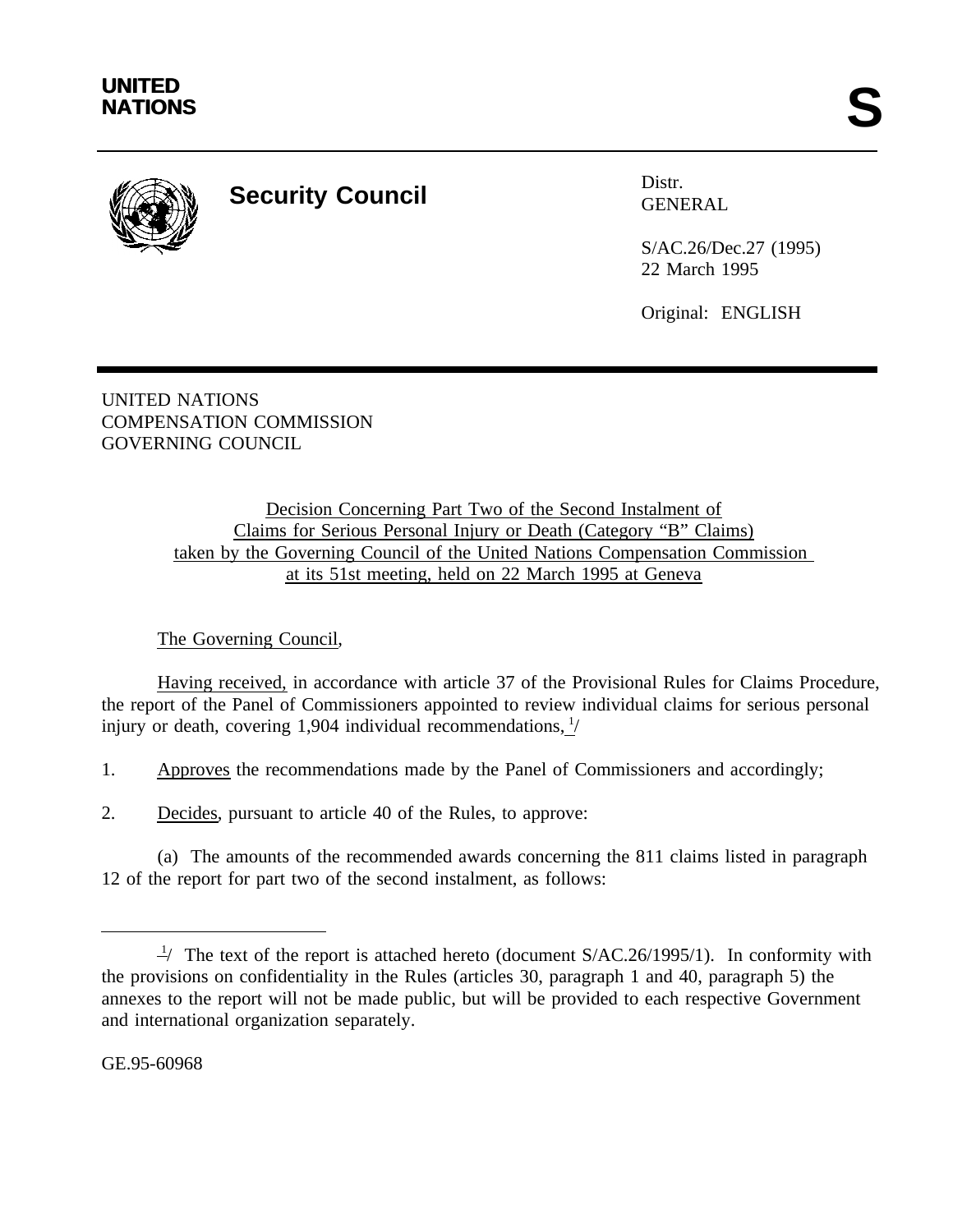

## **Security Council** Distral Distra

GENERAL

S/AC.26/Dec.27 (1995) 22 March 1995

Original: ENGLISH

UNITED NATIONS COMPENSATION COMMISSION GOVERNING COUNCIL

> Decision Concerning Part Two of the Second Instalment of Claims for Serious Personal Injury or Death (Category "B" Claims) taken by the Governing Council of the United Nations Compensation Commission at its 51st meeting, held on 22 March 1995 at Geneva

## The Governing Council,

Having received, in accordance with article 37 of the Provisional Rules for Claims Procedure, the report of the Panel of Commissioners appointed to review individual claims for serious personal injury or death, covering 1,904 individual recommendations,  $\frac{1}{2}$ 

1. Approves the recommendations made by the Panel of Commissioners and accordingly;

2. Decides, pursuant to article 40 of the Rules, to approve:

(a) The amounts of the recommended awards concerning the 811 claims listed in paragraph 12 of the report for part two of the second instalment, as follows:

GE.95-60968

 $\frac{1}{2}$  The text of the report is attached hereto (document S/AC.26/1995/1). In conformity with the provisions on confidentiality in the Rules (articles 30, paragraph 1 and 40, paragraph 5) the annexes to the report will not be made public, but will be provided to each respective Government and international organization separately.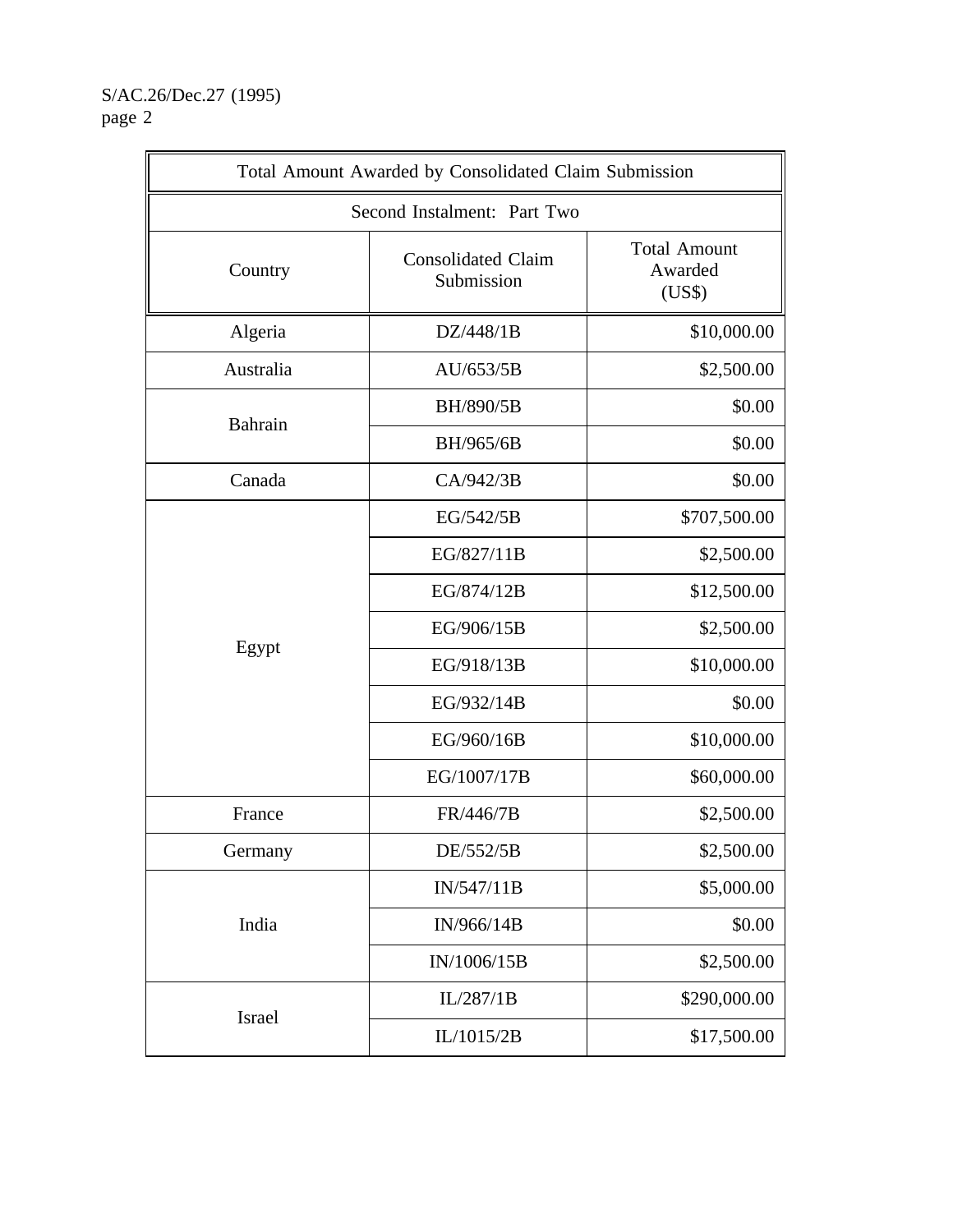S/AC.26/Dec.27 (1995) page 2

| Total Amount Awarded by Consolidated Claim Submission |                                         |                                          |
|-------------------------------------------------------|-----------------------------------------|------------------------------------------|
|                                                       | Second Instalment: Part Two             |                                          |
| Country                                               | <b>Consolidated Claim</b><br>Submission | <b>Total Amount</b><br>Awarded<br>(US\$) |
| Algeria                                               | DZ/448/1B                               | \$10,000.00                              |
| Australia                                             | AU/653/5B                               | \$2,500.00                               |
| Bahrain                                               | BH/890/5B                               | \$0.00                                   |
|                                                       | BH/965/6B                               | \$0.00                                   |
| Canada                                                | CA/942/3B                               | \$0.00                                   |
|                                                       | EG/542/5B                               | \$707,500.00                             |
|                                                       | EG/827/11B                              | \$2,500.00                               |
|                                                       | EG/874/12B                              | \$12,500.00                              |
|                                                       | EG/906/15B                              | \$2,500.00                               |
| Egypt                                                 | EG/918/13B                              | \$10,000.00                              |
|                                                       | EG/932/14B                              | \$0.00                                   |
|                                                       | EG/960/16B                              | \$10,000.00                              |
|                                                       | EG/1007/17B                             | \$60,000.00                              |
| France                                                | FR/446/7B                               | \$2,500.00                               |
| Germany                                               | DE/552/5B                               | \$2,500.00                               |
| India                                                 | IN/547/11B                              | \$5,000.00                               |
|                                                       | IN/966/14B                              | \$0.00                                   |
|                                                       | IN/1006/15B                             | \$2,500.00                               |
|                                                       | IL/287/1B                               | \$290,000.00                             |
|                                                       | Israel<br>IL/1015/2B                    | \$17,500.00                              |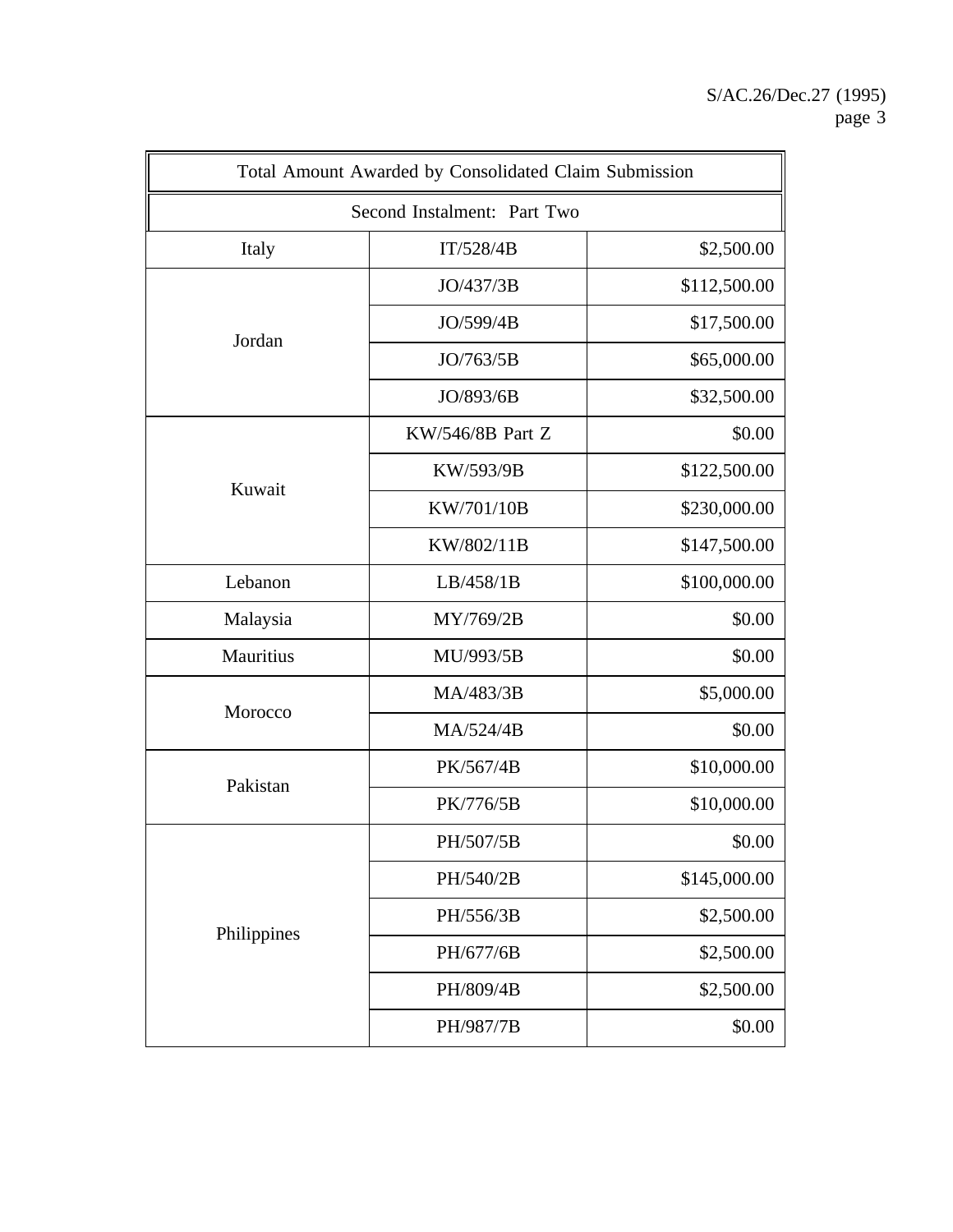|             | Total Amount Awarded by Consolidated Claim Submission |              |  |
|-------------|-------------------------------------------------------|--------------|--|
|             | Second Instalment: Part Two                           |              |  |
| Italy       | \$2,500.00<br>IT/528/4B                               |              |  |
|             | JO/437/3B                                             | \$112,500.00 |  |
| Jordan      | JO/599/4B                                             | \$17,500.00  |  |
|             | JO/763/5B                                             | \$65,000.00  |  |
|             | JO/893/6B                                             | \$32,500.00  |  |
|             | KW/546/8B Part Z                                      | \$0.00       |  |
| Kuwait      | KW/593/9B                                             | \$122,500.00 |  |
|             | KW/701/10B                                            | \$230,000.00 |  |
|             | KW/802/11B                                            | \$147,500.00 |  |
| Lebanon     | LB/458/1B                                             | \$100,000.00 |  |
| Malaysia    | MY/769/2B                                             | \$0.00       |  |
| Mauritius   | MU/993/5B                                             | \$0.00       |  |
| Morocco     | MA/483/3B                                             | \$5,000.00   |  |
|             | MA/524/4B                                             | \$0.00       |  |
|             | PK/567/4B                                             | \$10,000.00  |  |
| Pakistan    | PK/776/5B                                             | \$10,000.00  |  |
| Philippines | PH/507/5B                                             | \$0.00       |  |
|             | PH/540/2B                                             | \$145,000.00 |  |
|             | PH/556/3B                                             | \$2,500.00   |  |
|             | PH/677/6B                                             | \$2,500.00   |  |
|             | PH/809/4B                                             | \$2,500.00   |  |
|             | PH/987/7B                                             | \$0.00       |  |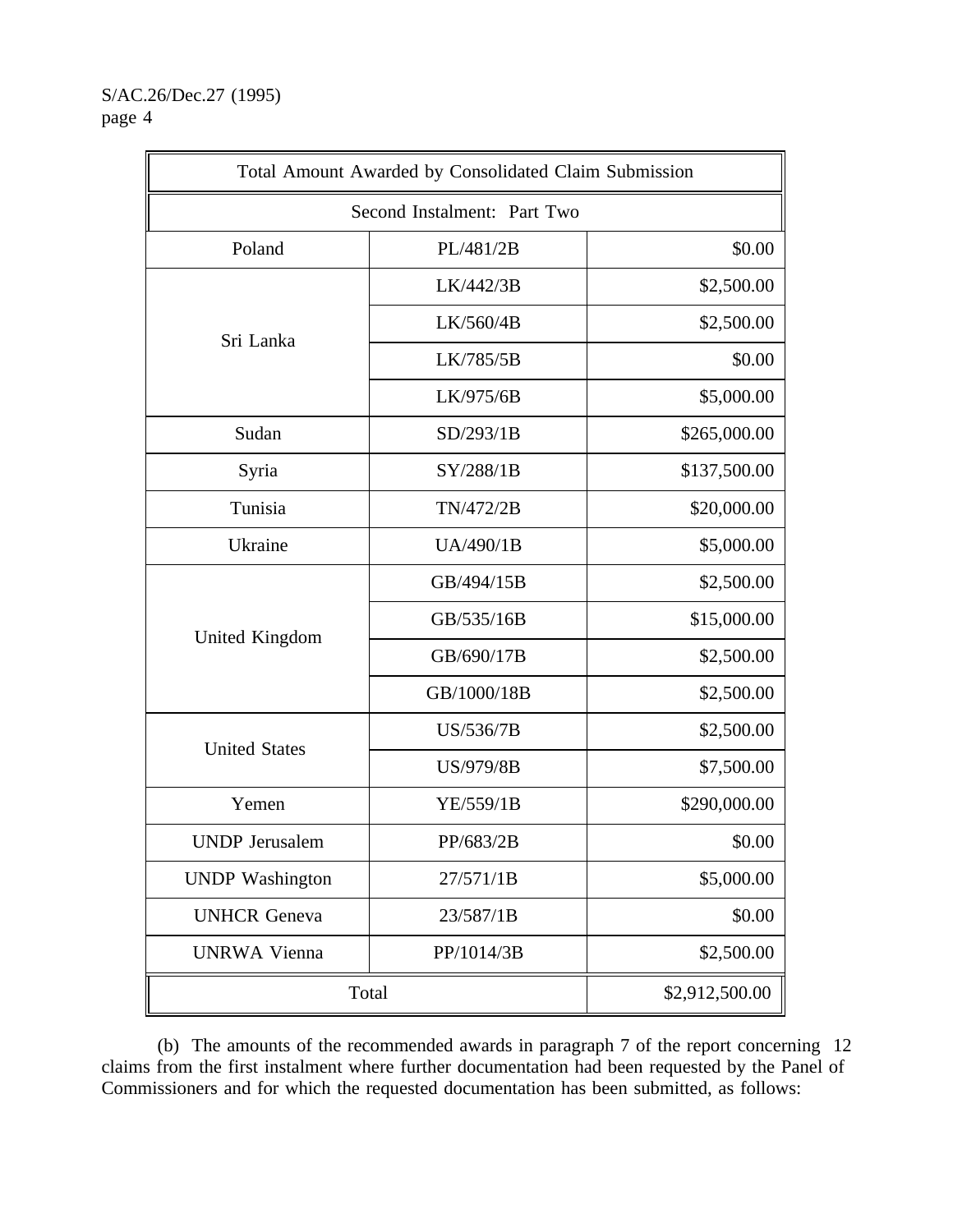S/AC.26/Dec.27 (1995) page 4

| Total Amount Awarded by Consolidated Claim Submission |                             |                |
|-------------------------------------------------------|-----------------------------|----------------|
|                                                       | Second Instalment: Part Two |                |
| Poland                                                | PL/481/2B                   | \$0.00         |
|                                                       | LK/442/3B                   | \$2,500.00     |
|                                                       | LK/560/4B                   | \$2,500.00     |
| Sri Lanka                                             | LK/785/5B                   | \$0.00         |
|                                                       | LK/975/6B                   | \$5,000.00     |
| Sudan                                                 | SD/293/1B                   | \$265,000.00   |
| Syria                                                 | SY/288/1B                   | \$137,500.00   |
| Tunisia                                               | TN/472/2B                   | \$20,000.00    |
| Ukraine                                               | UA/490/1B                   | \$5,000.00     |
|                                                       | GB/494/15B                  | \$2,500.00     |
|                                                       | GB/535/16B                  | \$15,000.00    |
| United Kingdom                                        | GB/690/17B                  | \$2,500.00     |
|                                                       | GB/1000/18B                 | \$2,500.00     |
| <b>United States</b>                                  | US/536/7B                   | \$2,500.00     |
|                                                       | US/979/8B                   | \$7,500.00     |
| Yemen                                                 | YE/559/1B                   | \$290,000.00   |
| <b>UNDP</b> Jerusalem                                 | PP/683/2B                   | \$0.00         |
| <b>UNDP</b> Washington                                | 27/571/1B                   | \$5,000.00     |
| <b>UNHCR</b> Geneva                                   | 23/587/1B                   | \$0.00         |
| <b>UNRWA Vienna</b>                                   | PP/1014/3B                  | \$2,500.00     |
| Total                                                 |                             | \$2,912,500.00 |

(b) The amounts of the recommended awards in paragraph 7 of the report concerning 12 claims from the first instalment where further documentation had been requested by the Panel of Commissioners and for which the requested documentation has been submitted, as follows: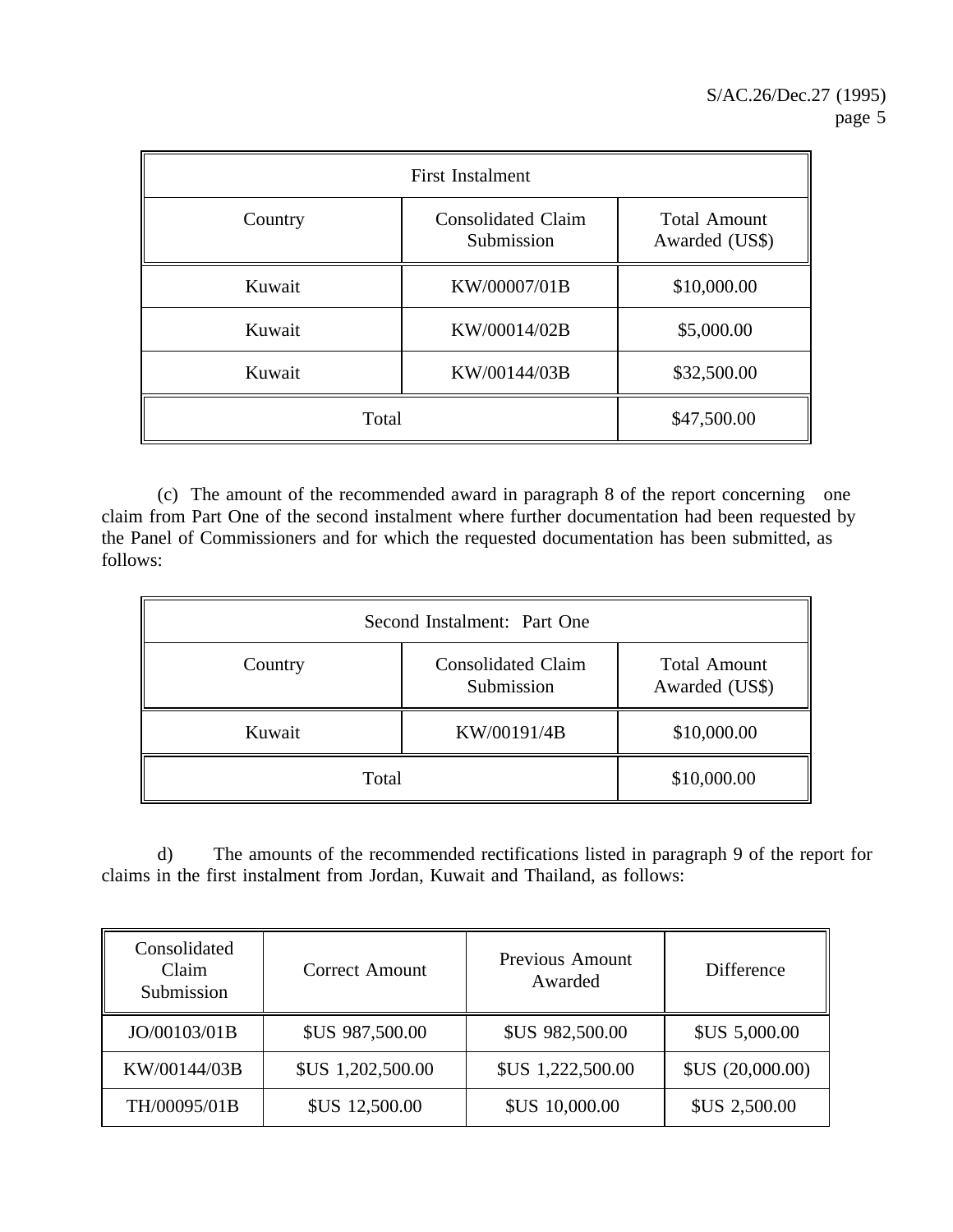| <b>First Instalment</b> |                                         |                                       |
|-------------------------|-----------------------------------------|---------------------------------------|
| Country                 | <b>Consolidated Claim</b><br>Submission | <b>Total Amount</b><br>Awarded (US\$) |
| Kuwait                  | KW/00007/01B                            | \$10,000.00                           |
| Kuwait                  | KW/00014/02B                            | \$5,000.00                            |
| Kuwait                  | KW/00144/03B                            | \$32,500.00                           |
| Total                   |                                         | \$47,500.00                           |

(c) The amount of the recommended award in paragraph 8 of the report concerning one claim from Part One of the second instalment where further documentation had been requested by the Panel of Commissioners and for which the requested documentation has been submitted, as follows:

| Second Instalment: Part One |                                         |                                       |
|-----------------------------|-----------------------------------------|---------------------------------------|
| Country                     | <b>Consolidated Claim</b><br>Submission | <b>Total Amount</b><br>Awarded (US\$) |
| Kuwait                      | KW/00191/4B                             | \$10,000.00                           |
| Total                       |                                         | \$10,000.00                           |

d) The amounts of the recommended rectifications listed in paragraph 9 of the report for claims in the first instalment from Jordan, Kuwait and Thailand, as follows:

| Consolidated<br>Claim<br>Submission | <b>Correct Amount</b>  | Previous Amount<br>Awarded | Difference           |
|-------------------------------------|------------------------|----------------------------|----------------------|
| JO/00103/01B                        | <b>\$US 987,500.00</b> | <b>\$US 982,500.00</b>     | <b>\$US 5,000.00</b> |
| KW/00144/03B                        | \$US 1,202,500.00      | \$US 1,222,500.00          | SUS (20,000.00)      |
| TH/00095/01B                        | <b>\$US 12,500.00</b>  | <b>\$US 10,000.00</b>      | <b>\$US 2,500.00</b> |